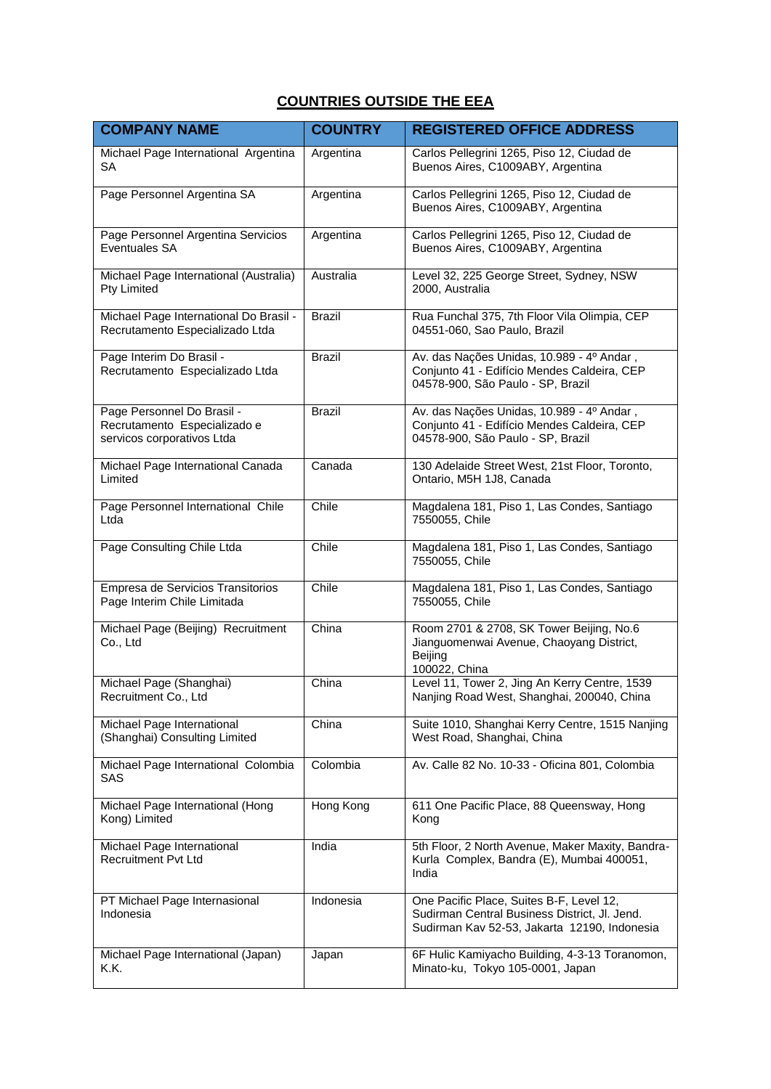## **COUNTRIES OUTSIDE THE EEA**

| <b>COMPANY NAME</b>                                                                      | <b>COUNTRY</b> | <b>REGISTERED OFFICE ADDRESS</b>                                                                                                          |
|------------------------------------------------------------------------------------------|----------------|-------------------------------------------------------------------------------------------------------------------------------------------|
| Michael Page International Argentina<br>SA                                               | Argentina      | Carlos Pellegrini 1265, Piso 12, Ciudad de<br>Buenos Aires, C1009ABY, Argentina                                                           |
| Page Personnel Argentina SA                                                              | Argentina      | Carlos Pellegrini 1265, Piso 12, Ciudad de<br>Buenos Aires, C1009ABY, Argentina                                                           |
| Page Personnel Argentina Servicios<br>Eventuales SA                                      | Argentina      | Carlos Pellegrini 1265, Piso 12, Ciudad de<br>Buenos Aires, C1009ABY, Argentina                                                           |
| Michael Page International (Australia)<br>Pty Limited                                    | Australia      | Level 32, 225 George Street, Sydney, NSW<br>2000, Australia                                                                               |
| Michael Page International Do Brasil -<br>Recrutamento Especializado Ltda                | <b>Brazil</b>  | Rua Funchal 375, 7th Floor Vila Olimpia, CEP<br>04551-060, Sao Paulo, Brazil                                                              |
| Page Interim Do Brasil -<br>Recrutamento Especializado Ltda                              | <b>Brazil</b>  | Av. das Nações Unidas, 10.989 - 4º Andar,<br>Conjunto 41 - Edifício Mendes Caldeira, CEP<br>04578-900, São Paulo - SP, Brazil             |
| Page Personnel Do Brasil -<br>Recrutamento Especializado e<br>servicos corporativos Ltda | <b>Brazil</b>  | Av. das Nações Unidas, 10.989 - 4º Andar,<br>Conjunto 41 - Edifício Mendes Caldeira, CEP<br>04578-900, São Paulo - SP, Brazil             |
| Michael Page International Canada<br>Limited                                             | Canada         | 130 Adelaide Street West, 21st Floor, Toronto,<br>Ontario, M5H 1J8, Canada                                                                |
| Page Personnel International Chile<br>Ltda                                               | Chile          | Magdalena 181, Piso 1, Las Condes, Santiago<br>7550055, Chile                                                                             |
| Page Consulting Chile Ltda                                                               | Chile          | Magdalena 181, Piso 1, Las Condes, Santiago<br>7550055, Chile                                                                             |
| Empresa de Servicios Transitorios<br>Page Interim Chile Limitada                         | Chile          | Magdalena 181, Piso 1, Las Condes, Santiago<br>7550055, Chile                                                                             |
| Michael Page (Beijing) Recruitment<br>Co., Ltd                                           | China          | Room 2701 & 2708, SK Tower Beijing, No.6<br>Jianguomenwai Avenue, Chaoyang District,<br>Beijing<br>100022, China                          |
| Michael Page (Shanghai)<br>Recruitment Co., Ltd                                          | China          | Level 11, Tower 2, Jing An Kerry Centre, 1539<br>Nanjing Road West, Shanghai, 200040, China                                               |
| Michael Page International<br>(Shanghai) Consulting Limited                              | China          | Suite 1010, Shanghai Kerry Centre, 1515 Nanjing<br>West Road, Shanghai, China                                                             |
| Michael Page International Colombia<br>SAS                                               | Colombia       | Av. Calle 82 No. 10-33 - Oficina 801, Colombia                                                                                            |
| Michael Page International (Hong<br>Kong) Limited                                        | Hong Kong      | 611 One Pacific Place, 88 Queensway, Hong<br>Kong                                                                                         |
| Michael Page International<br><b>Recruitment Pvt Ltd</b>                                 | India          | 5th Floor, 2 North Avenue, Maker Maxity, Bandra-<br>Kurla Complex, Bandra (E), Mumbai 400051,<br>India                                    |
| PT Michael Page Internasional<br>Indonesia                                               | Indonesia      | One Pacific Place, Suites B-F, Level 12,<br>Sudirman Central Business District, Jl. Jend.<br>Sudirman Kav 52-53, Jakarta 12190, Indonesia |
| Michael Page International (Japan)<br>K.K.                                               | Japan          | 6F Hulic Kamiyacho Building, 4-3-13 Toranomon,<br>Minato-ku, Tokyo 105-0001, Japan                                                        |